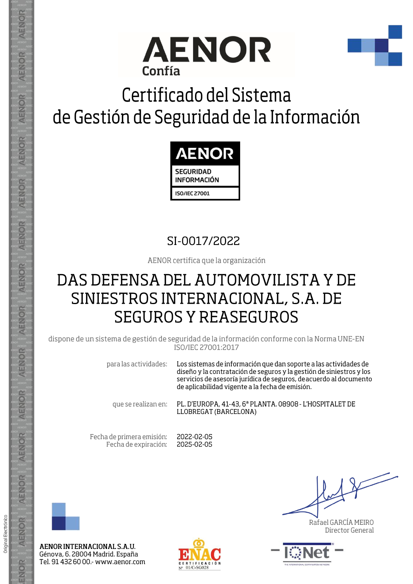



## Certificado del Sistema de Gestión de Seguridad de la Información



## SI-0017/2022

AENOR certifica que la organización

## DAS DEFENSA DEL AUTOMOVILISTA Y DE SINIESTROS INTERNACIONAL, S.A. DE **SEGUROS Y REASEGUROS**

dispone de un sistema de gestión de seguridad de la información conforme con la Norma UNE-EN ISO/IEC 27001:2017

> para las actividades: Los sistemas de información que dan soporte a las actividades de diseño y la contratación de seguros y la gestión de siniestros y los servicios de asesoría jurídica de seguros, de acuerdo al documento de aplicabilidad vigente a la fecha de emisión.

que se realizan en:

PL. D'EUROPA, 41-43, 6ª PLANTA. 08908 - L'HOSPITALET DE LLOBREGAT (BARCELONA)

Fecha de primera emisión: Fecha de expiración:

2022-02-05 2025-02-05



AENOR

ENOR

ENOR

**AENOR** 

AENOR

**AENOR** 

**AENOR** 

AENOR

ENOR

ENOR

AENOR

AENOR

AENOR

ENOR

Original Electrónico

AENOR INTERNACIONAL S.A.U. Génova, 6. 28004 Madrid. España Tel. 91 432 60 00 .- www.aenor.com



Rafael GARCÍA MEIRO Director General